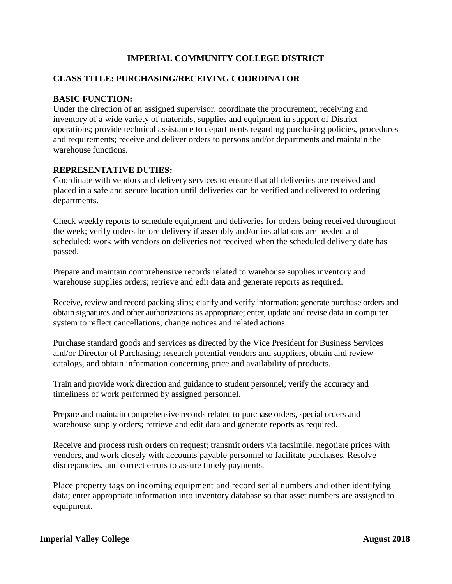# **IMPERIAL COMMUNITY COLLEGE DISTRICT**

### **CLASS TITLE: PURCHASING/RECEIVING COORDINATOR**

#### **BASIC FUNCTION:**

Under the direction of an assigned supervisor, coordinate the procurement, receiving and inventory of a wide variety of materials, supplies and equipment in support of District operations; provide technical assistance to departments regarding purchasing policies, procedures and requirements; receive and deliver orders to persons and/or departments and maintain the warehouse functions.

#### **REPRESENTATIVE DUTIES:**

Coordinate with vendors and delivery services to ensure that all deliveries are received and placed in a safe and secure location until deliveries can be verified and delivered to ordering departments.

Check weekly reports to schedule equipment and deliveries for orders being received throughout the week; verify orders before delivery if assembly and/or installations are needed and scheduled; work with vendors on deliveries not received when the scheduled delivery date has passed.

Prepare and maintain comprehensive records related to warehouse supplies inventory and warehouse supplies orders; retrieve and edit data and generate reports as required.

Receive, review and record packing slips; clarify and verify information; generate purchase orders and obtain signatures and other authorizations as appropriate; enter, update and revise data in computer system to reflect cancellations, change notices and related actions.

Purchase standard goods and services as directed by the Vice President for Business Services and/or Director of Purchasing; research potential vendors and suppliers, obtain and review catalogs, and obtain information concerning price and availability of products.

Train and provide work direction and guidance to student personnel; verify the accuracy and timeliness of work performed by assigned personnel.

Prepare and maintain comprehensive records related to purchase orders, special orders and warehouse supply orders; retrieve and edit data and generate reports as required.

Receive and process rush orders on request; transmit orders via facsimile, negotiate prices with vendors, and work closely with accounts payable personnel to facilitate purchases. Resolve discrepancies, and correct errors to assure timely payments.

Place property tags on incoming equipment and record serial numbers and other identifying data; enter appropriate information into inventory database so that asset numbers are assigned to equipment.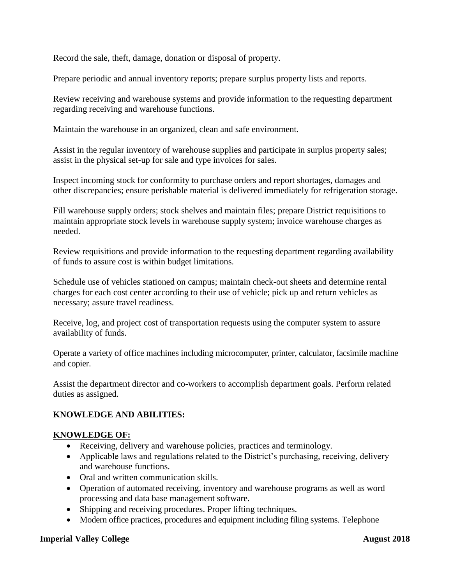Record the sale, theft, damage, donation or disposal of property.

Prepare periodic and annual inventory reports; prepare surplus property lists and reports.

Review receiving and warehouse systems and provide information to the requesting department regarding receiving and warehouse functions.

Maintain the warehouse in an organized, clean and safe environment.

Assist in the regular inventory of warehouse supplies and participate in surplus property sales; assist in the physical set-up for sale and type invoices for sales.

Inspect incoming stock for conformity to purchase orders and report shortages, damages and other discrepancies; ensure perishable material is delivered immediately for refrigeration storage.

Fill warehouse supply orders; stock shelves and maintain files; prepare District requisitions to maintain appropriate stock levels in warehouse supply system; invoice warehouse charges as needed.

Review requisitions and provide information to the requesting department regarding availability of funds to assure cost is within budget limitations.

Schedule use of vehicles stationed on campus; maintain check-out sheets and determine rental charges for each cost center according to their use of vehicle; pick up and return vehicles as necessary; assure travel readiness.

Receive, log, and project cost of transportation requests using the computer system to assure availability of funds.

Operate a variety of office machines including microcomputer, printer, calculator, facsimile machine and copier.

Assist the department director and co-workers to accomplish department goals. Perform related duties as assigned.

# **KNOWLEDGE AND ABILITIES:**

#### **KNOWLEDGE OF:**

- Receiving, delivery and warehouse policies, practices and terminology.
- Applicable laws and regulations related to the District's purchasing, receiving, delivery and warehouse functions.
- Oral and written communication skills.
- Operation of automated receiving, inventory and warehouse programs as well as word processing and data base management software.
- Shipping and receiving procedures. Proper lifting techniques.
- Modern office practices, procedures and equipment including filing systems. Telephone

#### **Imperial Valley College August 2018**